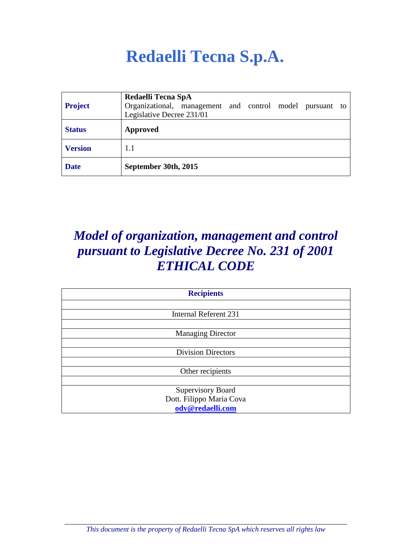# **Redaelli Tecna S.p.A.**

| <b>Project</b> | Redaelli Tecna SpA<br>Organizational, management and control model pursuant to<br>Legislative Decree 231/01 |
|----------------|-------------------------------------------------------------------------------------------------------------|
| <b>Status</b>  | Approved                                                                                                    |
| <b>Version</b> | 1.1                                                                                                         |
| <b>Date</b>    | September 30th, 2015                                                                                        |

# *Model of organization, management and control pursuant to Legislative Decree No. 231 of 2001 ETHICAL CODE*

| <b>Recipients</b>            |
|------------------------------|
|                              |
| <b>Internal Referent 231</b> |
|                              |
| <b>Managing Director</b>     |
|                              |
| <b>Division Directors</b>    |
|                              |
| Other recipients             |
|                              |
| Supervisory Board            |
| Dott. Filippo Maria Cova     |
| odv@redaelli.com             |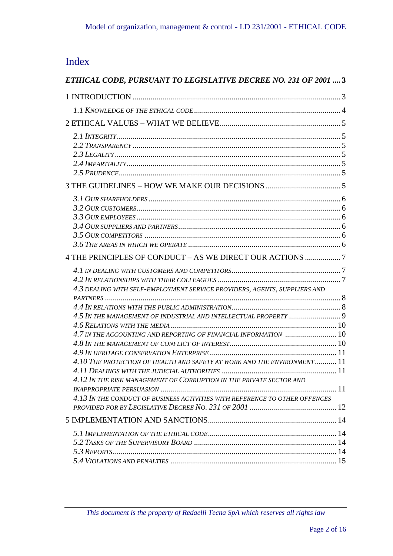# Index

| ETHICAL CODE, PURSUANT TO LEGISLATIVE DECREE NO. 231 OF 2001  3             |  |
|-----------------------------------------------------------------------------|--|
|                                                                             |  |
|                                                                             |  |
|                                                                             |  |
|                                                                             |  |
|                                                                             |  |
|                                                                             |  |
|                                                                             |  |
|                                                                             |  |
|                                                                             |  |
|                                                                             |  |
|                                                                             |  |
|                                                                             |  |
|                                                                             |  |
|                                                                             |  |
| 4 THE PRINCIPLES OF CONDUCT - AS WE DIRECT OUR ACTIONS 7                    |  |
|                                                                             |  |
|                                                                             |  |
| 4.3 DEALING WITH SELF-EMPLOYMENT SERVICE PROVIDERS, AGENTS, SUPPLIERS AND   |  |
|                                                                             |  |
|                                                                             |  |
|                                                                             |  |
| 4.7 IN THE ACCOUNTING AND REPORTING OF FINANCIAL INFORMATION  10            |  |
|                                                                             |  |
| 4.10 THE PROTECTION OF HEALTH AND SAFETY AT WORK AND THE ENVIRONMENT 11     |  |
|                                                                             |  |
| 4.12 IN THE RISK MANAGEMENT OF CORRUPTION IN THE PRIVATE SECTOR AND         |  |
|                                                                             |  |
| 4.13 IN THE CONDUCT OF BUSINESS ACTIVITIES WITH REFERENCE TO OTHER OFFENCES |  |
|                                                                             |  |
|                                                                             |  |
|                                                                             |  |
|                                                                             |  |
|                                                                             |  |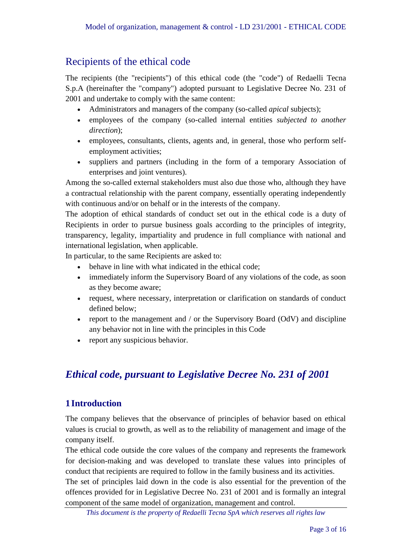### Recipients of the ethical code

The recipients (the "recipients") of this ethical code (the "code") of Redaelli Tecna S.p.A (hereinafter the "company") adopted pursuant to Legislative Decree No. 231 of 2001 and undertake to comply with the same content:

- Administrators and managers of the company (so-called *apical* subjects);
- employees of the company (so-called internal entities *subjected to another direction*);
- employees, consultants, clients, agents and, in general, those who perform selfemployment activities;
- suppliers and partners (including in the form of a temporary Association of enterprises and joint ventures).

Among the so-called external stakeholders must also due those who, although they have a contractual relationship with the parent company, essentially operating independently with continuous and/or on behalf or in the interests of the company.

The adoption of ethical standards of conduct set out in the ethical code is a duty of Recipients in order to pursue business goals according to the principles of integrity, transparency, legality, impartiality and prudence in full compliance with national and international legislation, when applicable.

In particular, to the same Recipients are asked to:

- behave in line with what indicated in the ethical code;
- immediately inform the Supervisory Board of any violations of the code, as soon as they become aware;
- request, where necessary, interpretation or clarification on standards of conduct defined below;
- report to the management and / or the Supervisory Board (OdV) and discipline any behavior not in line with the principles in this Code
- report any suspicious behavior.

## <span id="page-2-0"></span>*Ethical code, pursuant to Legislative Decree No. 231 of 2001*

#### <span id="page-2-1"></span>**1Introduction**

The company believes that the observance of principles of behavior based on ethical values is crucial to growth, as well as to the reliability of management and image of the company itself.

The ethical code outside the core values of the company and represents the framework for decision-making and was developed to translate these values into principles of conduct that recipients are required to follow in the family business and its activities.

The set of principles laid down in the code is also essential for the prevention of the offences provided for in Legislative Decree No. 231 of 2001 and is formally an integral component of the same model of organization, management and control.

*This document is the property of Redaelli Tecna SpA which reserves all rights law*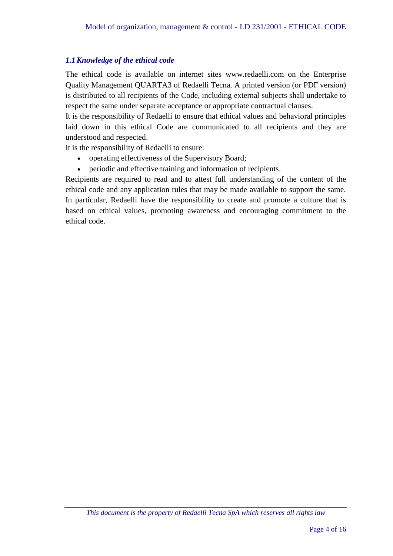#### <span id="page-3-0"></span>*1.1Knowledge of the ethical code*

The ethical code is available on internet sites www.redaelli.com on the Enterprise Quality Management QUARTA3 of Redaelli Tecna. A printed version (or PDF version) is distributed to all recipients of the Code, including external subjects shall undertake to respect the same under separate acceptance or appropriate contractual clauses.

It is the responsibility of Redaelli to ensure that ethical values and behavioral principles laid down in this ethical Code are communicated to all recipients and they are understood and respected.

It is the responsibility of Redaelli to ensure:

- operating effectiveness of the Supervisory Board;
- periodic and effective training and information of recipients.

Recipients are required to read and to attest full understanding of the content of the ethical code and any application rules that may be made available to support the same. In particular, Redaelli have the responsibility to create and promote a culture that is based on ethical values, promoting awareness and encouraging commitment to the ethical code.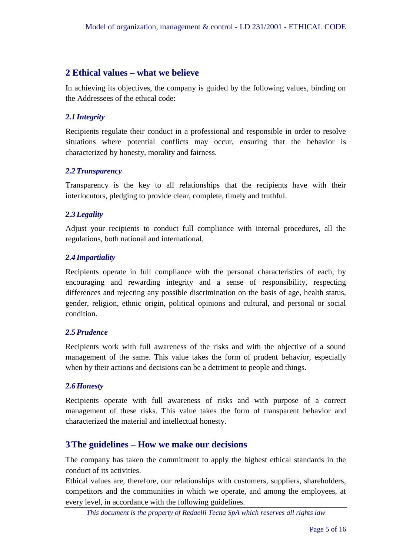#### <span id="page-4-0"></span>**2 Ethical values – what we believe**

In achieving its objectives, the company is guided by the following values, binding on the Addressees of the ethical code:

#### <span id="page-4-1"></span>*2.1 Integrity*

Recipients regulate their conduct in a professional and responsible in order to resolve situations where potential conflicts may occur, ensuring that the behavior is characterized by honesty, morality and fairness.

#### <span id="page-4-2"></span>*2.2Transparency*

Transparency is the key to all relationships that the recipients have with their interlocutors, pledging to provide clear, complete, timely and truthful.

#### <span id="page-4-3"></span>*2.3Legality*

Adjust your recipients to conduct full compliance with internal procedures, all the regulations, both national and international.

#### <span id="page-4-4"></span>*2.4 Impartiality*

Recipients operate in full compliance with the personal characteristics of each, by encouraging and rewarding integrity and a sense of responsibility, respecting differences and rejecting any possible discrimination on the basis of age, health status, gender, religion, ethnic origin, political opinions and cultural, and personal or social condition.

#### <span id="page-4-5"></span>*2.5Prudence*

Recipients work with full awareness of the risks and with the objective of a sound management of the same. This value takes the form of prudent behavior, especially when by their actions and decisions can be a detriment to people and things.

#### *2.6Honesty*

Recipients operate with full awareness of risks and with purpose of a correct management of these risks. This value takes the form of transparent behavior and characterized the material and intellectual honesty.

#### <span id="page-4-6"></span>**3The guidelines – How we make our decisions**

The company has taken the commitment to apply the highest ethical standards in the conduct of its activities.

Ethical values are, therefore, our relationships with customers, suppliers, shareholders, competitors and the communities in which we operate, and among the employees, at every level, in accordance with the following guidelines.

*This document is the property of Redaelli Tecna SpA which reserves all rights law*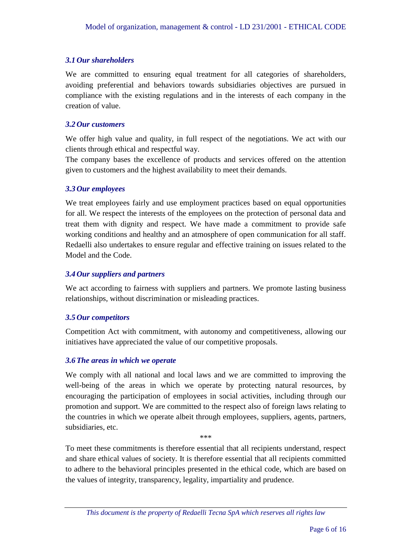#### <span id="page-5-0"></span>*3.1 Our shareholders*

We are committed to ensuring equal treatment for all categories of shareholders, avoiding preferential and behaviors towards subsidiaries objectives are pursued in compliance with the existing regulations and in the interests of each company in the creation of value.

#### <span id="page-5-1"></span>*3.2 Our customers*

We offer high value and quality, in full respect of the negotiations. We act with our clients through ethical and respectful way.

The company bases the excellence of products and services offered on the attention given to customers and the highest availability to meet their demands.

#### <span id="page-5-2"></span>*3.3 Our employees*

We treat employees fairly and use employment practices based on equal opportunities for all. We respect the interests of the employees on the protection of personal data and treat them with dignity and respect. We have made a commitment to provide safe working conditions and healthy and an atmosphere of open communication for all staff. Redaelli also undertakes to ensure regular and effective training on issues related to the Model and the Code.

#### <span id="page-5-3"></span>*3.4 Our suppliers and partners*

We act according to fairness with suppliers and partners. We promote lasting business relationships, without discrimination or misleading practices.

#### <span id="page-5-4"></span>*3.5 Our competitors*

Competition Act with commitment, with autonomy and competitiveness, allowing our initiatives have appreciated the value of our competitive proposals.

#### <span id="page-5-5"></span>*3.6The areas in which we operate*

We comply with all national and local laws and we are committed to improving the well-being of the areas in which we operate by protecting natural resources, by encouraging the participation of employees in social activities, including through our promotion and support. We are committed to the respect also of foreign laws relating to the countries in which we operate albeit through employees, suppliers, agents, partners, subsidiaries, etc.

To meet these commitments is therefore essential that all recipients understand, respect and share ethical values of society. It is therefore essential that all recipients committed to adhere to the behavioral principles presented in the ethical code, which are based on the values of integrity, transparency, legality, impartiality and prudence.

\*\*\*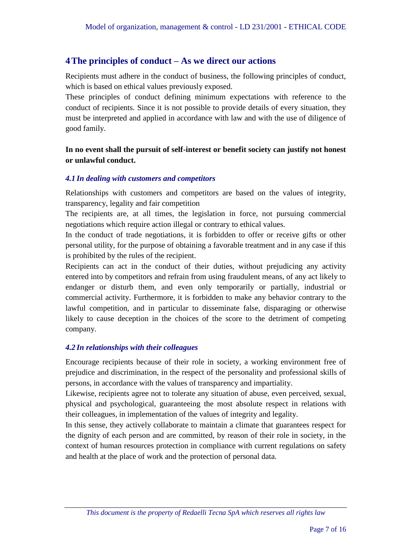#### <span id="page-6-0"></span>**4The principles of conduct – As we direct our actions**

Recipients must adhere in the conduct of business, the following principles of conduct, which is based on ethical values previously exposed.

These principles of conduct defining minimum expectations with reference to the conduct of recipients. Since it is not possible to provide details of every situation, they must be interpreted and applied in accordance with law and with the use of diligence of good family.

#### **In no event shall the pursuit of self-interest or benefit society can justify not honest or unlawful conduct.**

#### <span id="page-6-1"></span>*4.1 In dealing with customers and competitors*

Relationships with customers and competitors are based on the values of integrity, transparency, legality and fair competition

The recipients are, at all times, the legislation in force, not pursuing commercial negotiations which require action illegal or contrary to ethical values.

In the conduct of trade negotiations, it is forbidden to offer or receive gifts or other personal utility, for the purpose of obtaining a favorable treatment and in any case if this is prohibited by the rules of the recipient.

Recipients can act in the conduct of their duties, without prejudicing any activity entered into by competitors and refrain from using fraudulent means, of any act likely to endanger or disturb them, and even only temporarily or partially, industrial or commercial activity. Furthermore, it is forbidden to make any behavior contrary to the lawful competition, and in particular to disseminate false, disparaging or otherwise likely to cause deception in the choices of the score to the detriment of competing company.

#### <span id="page-6-2"></span>*4.2 In relationships with their colleagues*

Encourage recipients because of their role in society, a working environment free of prejudice and discrimination, in the respect of the personality and professional skills of persons, in accordance with the values of transparency and impartiality.

Likewise, recipients agree not to tolerate any situation of abuse, even perceived, sexual, physical and psychological, guaranteeing the most absolute respect in relations with their colleagues, in implementation of the values of integrity and legality.

In this sense, they actively collaborate to maintain a climate that guarantees respect for the dignity of each person and are committed, by reason of their role in society, in the context of human resources protection in compliance with current regulations on safety and health at the place of work and the protection of personal data.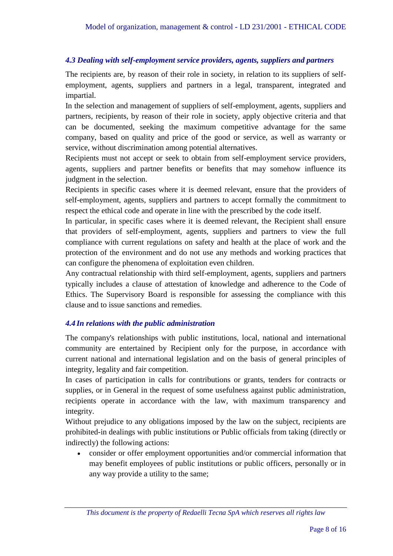#### <span id="page-7-0"></span>*4.3 Dealing with self-employment service providers, agents, suppliers and partners*

The recipients are, by reason of their role in society, in relation to its suppliers of selfemployment, agents, suppliers and partners in a legal, transparent, integrated and impartial.

In the selection and management of suppliers of self-employment, agents, suppliers and partners, recipients, by reason of their role in society, apply objective criteria and that can be documented, seeking the maximum competitive advantage for the same company, based on quality and price of the good or service, as well as warranty or service, without discrimination among potential alternatives.

Recipients must not accept or seek to obtain from self-employment service providers, agents, suppliers and partner benefits or benefits that may somehow influence its judgment in the selection.

Recipients in specific cases where it is deemed relevant, ensure that the providers of self-employment, agents, suppliers and partners to accept formally the commitment to respect the ethical code and operate in line with the prescribed by the code itself.

In particular, in specific cases where it is deemed relevant, the Recipient shall ensure that providers of self-employment, agents, suppliers and partners to view the full compliance with current regulations on safety and health at the place of work and the protection of the environment and do not use any methods and working practices that can configure the phenomena of exploitation even children.

Any contractual relationship with third self-employment, agents, suppliers and partners typically includes a clause of attestation of knowledge and adherence to the Code of Ethics. The Supervisory Board is responsible for assessing the compliance with this clause and to issue sanctions and remedies.

#### <span id="page-7-1"></span>*4.4 In relations with the public administration*

The company's relationships with public institutions, local, national and international community are entertained by Recipient only for the purpose, in accordance with current national and international legislation and on the basis of general principles of integrity, legality and fair competition.

In cases of participation in calls for contributions or grants, tenders for contracts or supplies, or in General in the request of some usefulness against public administration, recipients operate in accordance with the law, with maximum transparency and integrity.

Without prejudice to any obligations imposed by the law on the subject, recipients are prohibited-in dealings with public institutions or Public officials from taking (directly or indirectly) the following actions:

 consider or offer employment opportunities and/or commercial information that may benefit employees of public institutions or public officers, personally or in any way provide a utility to the same;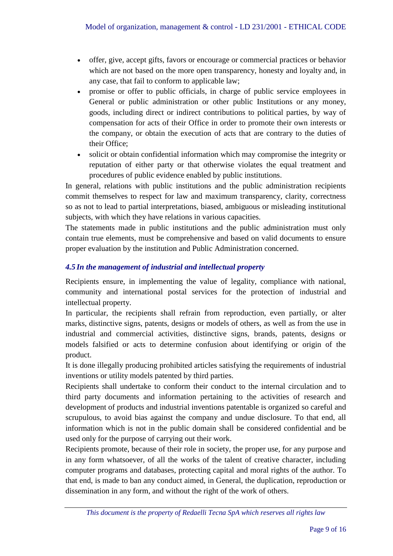- offer, give, accept gifts, favors or encourage or commercial practices or behavior which are not based on the more open transparency, honesty and loyalty and, in any case, that fail to conform to applicable law;
- promise or offer to public officials, in charge of public service employees in General or public administration or other public Institutions or any money, goods, including direct or indirect contributions to political parties, by way of compensation for acts of their Office in order to promote their own interests or the company, or obtain the execution of acts that are contrary to the duties of their Office;
- solicit or obtain confidential information which may compromise the integrity or reputation of either party or that otherwise violates the equal treatment and procedures of public evidence enabled by public institutions.

In general, relations with public institutions and the public administration recipients commit themselves to respect for law and maximum transparency, clarity, correctness so as not to lead to partial interpretations, biased, ambiguous or misleading institutional subjects, with which they have relations in various capacities.

The statements made in public institutions and the public administration must only contain true elements, must be comprehensive and based on valid documents to ensure proper evaluation by the institution and Public Administration concerned.

#### <span id="page-8-0"></span>*4.5 In the management of industrial and intellectual property*

Recipients ensure, in implementing the value of legality, compliance with national, community and international postal services for the protection of industrial and intellectual property.

In particular, the recipients shall refrain from reproduction, even partially, or alter marks, distinctive signs, patents, designs or models of others, as well as from the use in industrial and commercial activities, distinctive signs, brands, patents, designs or models falsified or acts to determine confusion about identifying or origin of the product.

It is done illegally producing prohibited articles satisfying the requirements of industrial inventions or utility models patented by third parties.

Recipients shall undertake to conform their conduct to the internal circulation and to third party documents and information pertaining to the activities of research and development of products and industrial inventions patentable is organized so careful and scrupulous, to avoid bias against the company and undue disclosure. To that end, all information which is not in the public domain shall be considered confidential and be used only for the purpose of carrying out their work.

Recipients promote, because of their role in society, the proper use, for any purpose and in any form whatsoever, of all the works of the talent of creative character, including computer programs and databases, protecting capital and moral rights of the author. To that end, is made to ban any conduct aimed, in General, the duplication, reproduction or dissemination in any form, and without the right of the work of others.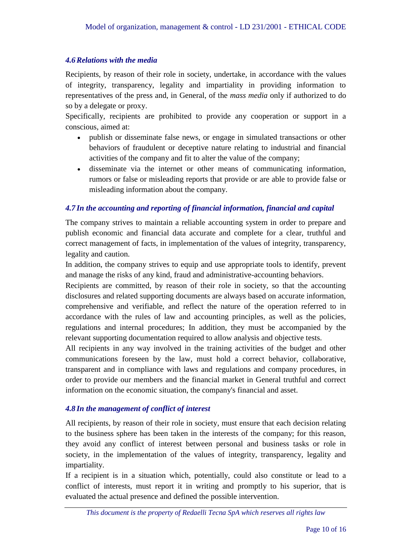#### <span id="page-9-0"></span>*4.6Relations with the media*

Recipients, by reason of their role in society, undertake, in accordance with the values of integrity, transparency, legality and impartiality in providing information to representatives of the press and, in General, of the *mass media* only if authorized to do so by a delegate or proxy.

Specifically, recipients are prohibited to provide any cooperation or support in a conscious, aimed at:

- publish or disseminate false news, or engage in simulated transactions or other behaviors of fraudulent or deceptive nature relating to industrial and financial activities of the company and fit to alter the value of the company;
- disseminate via the internet or other means of communicating information, rumors or false or misleading reports that provide or are able to provide false or misleading information about the company.

#### <span id="page-9-1"></span>*4.7 In the accounting and reporting of financial information, financial and capital*

The company strives to maintain a reliable accounting system in order to prepare and publish economic and financial data accurate and complete for a clear, truthful and correct management of facts, in implementation of the values of integrity, transparency, legality and caution.

In addition, the company strives to equip and use appropriate tools to identify, prevent and manage the risks of any kind, fraud and administrative-accounting behaviors.

Recipients are committed, by reason of their role in society, so that the accounting disclosures and related supporting documents are always based on accurate information, comprehensive and verifiable, and reflect the nature of the operation referred to in accordance with the rules of law and accounting principles, as well as the policies, regulations and internal procedures; In addition, they must be accompanied by the relevant supporting documentation required to allow analysis and objective tests.

All recipients in any way involved in the training activities of the budget and other communications foreseen by the law, must hold a correct behavior, collaborative, transparent and in compliance with laws and regulations and company procedures, in order to provide our members and the financial market in General truthful and correct information on the economic situation, the company's financial and asset.

#### <span id="page-9-2"></span>*4.8 In the management of conflict of interest*

All recipients, by reason of their role in society, must ensure that each decision relating to the business sphere has been taken in the interests of the company; for this reason, they avoid any conflict of interest between personal and business tasks or role in society, in the implementation of the values of integrity, transparency, legality and impartiality.

If a recipient is in a situation which, potentially, could also constitute or lead to a conflict of interests, must report it in writing and promptly to his superior, that is evaluated the actual presence and defined the possible intervention.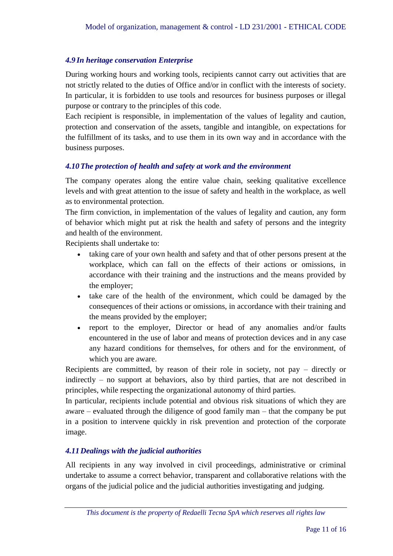#### <span id="page-10-0"></span>*4.9 In heritage conservation Enterprise*

During working hours and working tools, recipients cannot carry out activities that are not strictly related to the duties of Office and/or in conflict with the interests of society. In particular, it is forbidden to use tools and resources for business purposes or illegal purpose or contrary to the principles of this code.

Each recipient is responsible, in implementation of the values of legality and caution, protection and conservation of the assets, tangible and intangible, on expectations for the fulfillment of its tasks, and to use them in its own way and in accordance with the business purposes.

#### <span id="page-10-1"></span>*4.10The protection of health and safety at work and the environment*

The company operates along the entire value chain, seeking qualitative excellence levels and with great attention to the issue of safety and health in the workplace, as well as to environmental protection.

The firm conviction, in implementation of the values of legality and caution, any form of behavior which might put at risk the health and safety of persons and the integrity and health of the environment.

Recipients shall undertake to:

- taking care of your own health and safety and that of other persons present at the workplace, which can fall on the effects of their actions or omissions, in accordance with their training and the instructions and the means provided by the employer;
- take care of the health of the environment, which could be damaged by the consequences of their actions or omissions, in accordance with their training and the means provided by the employer;
- report to the employer, Director or head of any anomalies and/or faults encountered in the use of labor and means of protection devices and in any case any hazard conditions for themselves, for others and for the environment, of which you are aware.

Recipients are committed, by reason of their role in society, not pay – directly or indirectly – no support at behaviors, also by third parties, that are not described in principles, while respecting the organizational autonomy of third parties.

In particular, recipients include potential and obvious risk situations of which they are aware – evaluated through the diligence of good family man – that the company be put in a position to intervene quickly in risk prevention and protection of the corporate image.

#### <span id="page-10-2"></span>*4.11 Dealings with the judicial authorities*

All recipients in any way involved in civil proceedings, administrative or criminal undertake to assume a correct behavior, transparent and collaborative relations with the organs of the judicial police and the judicial authorities investigating and judging.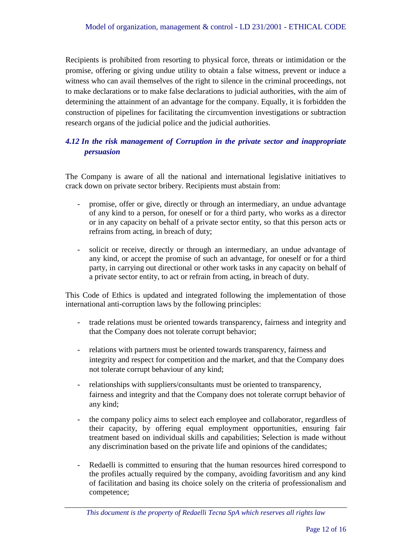Recipients is prohibited from resorting to physical force, threats or intimidation or the promise, offering or giving undue utility to obtain a false witness, prevent or induce a witness who can avail themselves of the right to silence in the criminal proceedings, not to make declarations or to make false declarations to judicial authorities, with the aim of determining the attainment of an advantage for the company. Equally, it is forbidden the construction of pipelines for facilitating the circumvention investigations or subtraction research organs of the judicial police and the judicial authorities.

#### <span id="page-11-0"></span>*4.12 In the risk management of Corruption in the private sector and inappropriate persuasion*

The Company is aware of all the national and international legislative initiatives to crack down on private sector bribery. Recipients must abstain from:

- promise, offer or give, directly or through an intermediary, an undue advantage of any kind to a person, for oneself or for a third party, who works as a director or in any capacity on behalf of a private sector entity, so that this person acts or refrains from acting, in breach of duty;
- solicit or receive, directly or through an intermediary, an undue advantage of any kind, or accept the promise of such an advantage, for oneself or for a third party, in carrying out directional or other work tasks in any capacity on behalf of a private sector entity, to act or refrain from acting, in breach of duty.

This Code of Ethics is updated and integrated following the implementation of those international anti-corruption laws by the following principles:

- trade relations must be oriented towards transparency, fairness and integrity and that the Company does not tolerate corrupt behavior;
- relations with partners must be oriented towards transparency, fairness and integrity and respect for competition and the market, and that the Company does not tolerate corrupt behaviour of any kind;
- relationships with suppliers/consultants must be oriented to transparency, fairness and integrity and that the Company does not tolerate corrupt behavior of any kind;
- the company policy aims to select each employee and collaborator, regardless of their capacity, by offering equal employment opportunities, ensuring fair treatment based on individual skills and capabilities; Selection is made without any discrimination based on the private life and opinions of the candidates;
- Redaelli is committed to ensuring that the human resources hired correspond to the profiles actually required by the company, avoiding favoritism and any kind of facilitation and basing its choice solely on the criteria of professionalism and competence;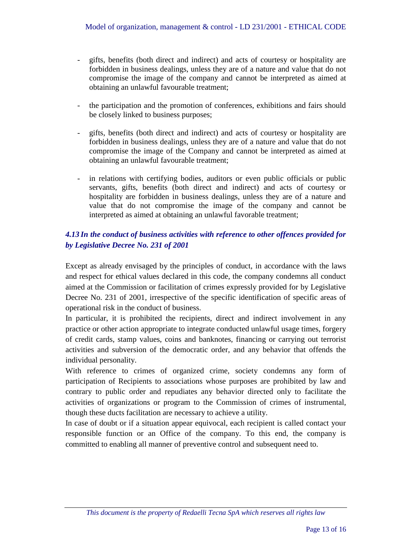- gifts, benefits (both direct and indirect) and acts of courtesy or hospitality are forbidden in business dealings, unless they are of a nature and value that do not compromise the image of the company and cannot be interpreted as aimed at obtaining an unlawful favourable treatment;
- the participation and the promotion of conferences, exhibitions and fairs should be closely linked to business purposes;
- gifts, benefits (both direct and indirect) and acts of courtesy or hospitality are forbidden in business dealings, unless they are of a nature and value that do not compromise the image of the Company and cannot be interpreted as aimed at obtaining an unlawful favourable treatment;
- in relations with certifying bodies, auditors or even public officials or public servants, gifts, benefits (both direct and indirect) and acts of courtesy or hospitality are forbidden in business dealings, unless they are of a nature and value that do not compromise the image of the company and cannot be interpreted as aimed at obtaining an unlawful favorable treatment;

#### *4.13 In the conduct of business activities with reference to other offences provided for by Legislative Decree No. 231 of 2001*

Except as already envisaged by the principles of conduct, in accordance with the laws and respect for ethical values declared in this code, the company condemns all conduct aimed at the Commission or facilitation of crimes expressly provided for by Legislative Decree No. 231 of 2001, irrespective of the specific identification of specific areas of operational risk in the conduct of business.

In particular, it is prohibited the recipients, direct and indirect involvement in any practice or other action appropriate to integrate conducted unlawful usage times, forgery of credit cards, stamp values, coins and banknotes, financing or carrying out terrorist activities and subversion of the democratic order, and any behavior that offends the individual personality.

With reference to crimes of organized crime, society condemns any form of participation of Recipients to associations whose purposes are prohibited by law and contrary to public order and repudiates any behavior directed only to facilitate the activities of organizations or program to the Commission of crimes of instrumental, though these ducts facilitation are necessary to achieve a utility.

In case of doubt or if a situation appear equivocal, each recipient is called contact your responsible function or an Office of the company. To this end, the company is committed to enabling all manner of preventive control and subsequent need to.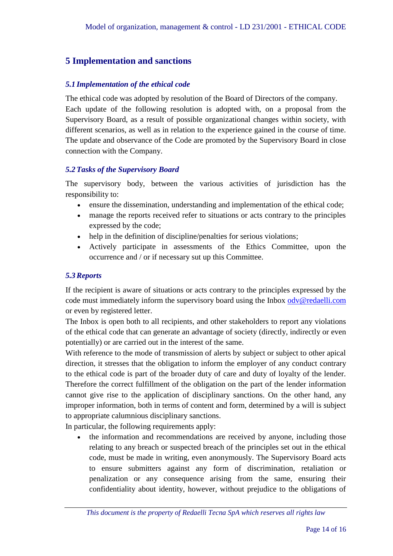#### <span id="page-13-0"></span>**5 Implementation and sanctions**

#### <span id="page-13-1"></span>*5.1 Implementation of the ethical code*

The ethical code was adopted by resolution of the Board of Directors of the company. Each update of the following resolution is adopted with, on a proposal from the Supervisory Board, as a result of possible organizational changes within society, with different scenarios, as well as in relation to the experience gained in the course of time. The update and observance of the Code are promoted by the Supervisory Board in close connection with the Company.

#### <span id="page-13-2"></span>*5.2Tasks of the Supervisory Board*

The supervisory body, between the various activities of jurisdiction has the responsibility to:

- ensure the dissemination, understanding and implementation of the ethical code;
- manage the reports received refer to situations or acts contrary to the principles expressed by the code;
- help in the definition of discipline/penalties for serious violations;
- Actively participate in assessments of the Ethics Committee, upon the occurrence and / or if necessary sut up this Committee.

#### <span id="page-13-3"></span>*5.3Reports*

If the recipient is aware of situations or acts contrary to the principles expressed by the code must immediately inform the supervisory board using the Inbox [odv@redaelli.com](mailto:odv@redaelli.com) or even by registered letter.

The Inbox is open both to all recipients, and other stakeholders to report any violations of the ethical code that can generate an advantage of society (directly, indirectly or even potentially) or are carried out in the interest of the same.

With reference to the mode of transmission of alerts by subject or subject to other apical direction, it stresses that the obligation to inform the employer of any conduct contrary to the ethical code is part of the broader duty of care and duty of loyalty of the lender. Therefore the correct fulfillment of the obligation on the part of the lender information cannot give rise to the application of disciplinary sanctions. On the other hand, any improper information, both in terms of content and form, determined by a will is subject to appropriate calumnious disciplinary sanctions.

In particular, the following requirements apply:

 the information and recommendations are received by anyone, including those relating to any breach or suspected breach of the principles set out in the ethical code, must be made in writing, even anonymously. The Supervisory Board acts to ensure submitters against any form of discrimination, retaliation or penalization or any consequence arising from the same, ensuring their confidentiality about identity, however, without prejudice to the obligations of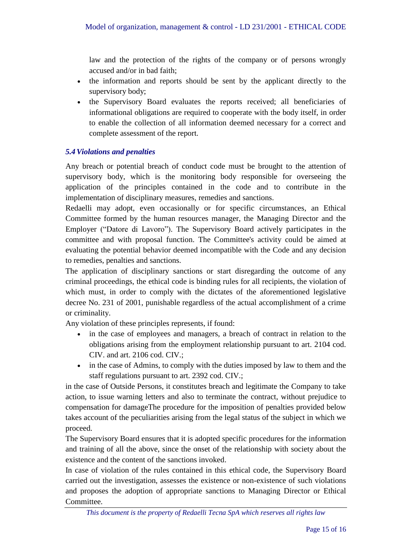law and the protection of the rights of the company or of persons wrongly accused and/or in bad faith;

- the information and reports should be sent by the applicant directly to the supervisory body;
- the Supervisory Board evaluates the reports received; all beneficiaries of informational obligations are required to cooperate with the body itself, in order to enable the collection of all information deemed necessary for a correct and complete assessment of the report.

#### <span id="page-14-0"></span>*5.4Violations and penalties*

Any breach or potential breach of conduct code must be brought to the attention of supervisory body, which is the monitoring body responsible for overseeing the application of the principles contained in the code and to contribute in the implementation of disciplinary measures, remedies and sanctions.

Redaelli may adopt, even occasionally or for specific circumstances, an Ethical Committee formed by the human resources manager, the Managing Director and the Employer ("Datore di Lavoro"). The Supervisory Board actively participates in the committee and with proposal function. The Committee's activity could be aimed at evaluating the potential behavior deemed incompatible with the Code and any decision to remedies, penalties and sanctions.

The application of disciplinary sanctions or start disregarding the outcome of any criminal proceedings, the ethical code is binding rules for all recipients, the violation of which must, in order to comply with the dictates of the aforementioned legislative decree No. 231 of 2001, punishable regardless of the actual accomplishment of a crime or criminality.

Any violation of these principles represents, if found:

- in the case of employees and managers, a breach of contract in relation to the obligations arising from the employment relationship pursuant to art. 2104 cod. CIV. and art. 2106 cod. CIV.;
- in the case of Admins, to comply with the duties imposed by law to them and the staff regulations pursuant to art. 2392 cod. CIV.;

in the case of Outside Persons, it constitutes breach and legitimate the Company to take action, to issue warning letters and also to terminate the contract, without prejudice to compensation for damageThe procedure for the imposition of penalties provided below takes account of the peculiarities arising from the legal status of the subject in which we proceed.

The Supervisory Board ensures that it is adopted specific procedures for the information and training of all the above, since the onset of the relationship with society about the existence and the content of the sanctions invoked.

In case of violation of the rules contained in this ethical code, the Supervisory Board carried out the investigation, assesses the existence or non-existence of such violations and proposes the adoption of appropriate sanctions to Managing Director or Ethical Committee.